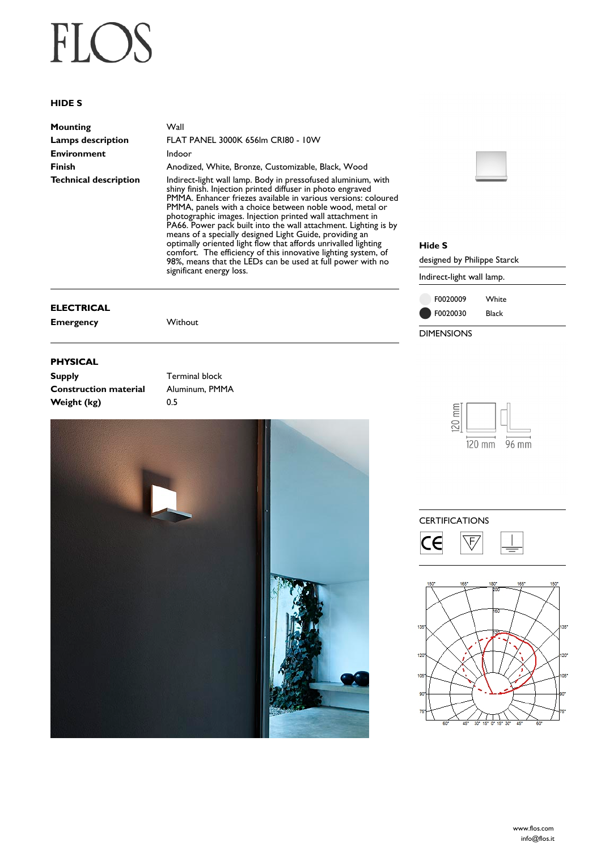# FLOS

### **HIDE S**

| Mounting                     | Wall             |
|------------------------------|------------------|
| <b>Lamps description</b>     | FLA <sub>1</sub> |
| <b>Environment</b>           | Indo             |
| <b>Finish</b>                | Anod             |
| <b>Technical description</b> | Indir            |

**Lamps description** FLAT PANEL 3000K 656lm CRI80 - 10W **Indoor Finish** Anodized, White, Bronze, Customizable, Black, Wood **Technical description** Indirect-light wall lamp. Body in pressofused aluminium, with shiny finish. Injection printed diffuser in photo engraved PMMA. Enhancer friezes available in various versions: coloured PMMA, panels with a choice between noble wood, metal or photographic images. Injection printed wall attachment in PA66. Power pack built into the wall attachment. Lighting is by means of a specially designed Light Guide, providing an optimally oriented light flow that affords unrivalled lighting comfort. The efficiency of this innovative lighting system, of 98%, means that the LEDs can be used at full power with no significant energy loss.

#### **ELECTRICAL**

**Emergency** Without

### **PHYSICAL**

**Supply Terminal block Construction material** Aluminum, PMMA **Weight (kg)** 0.5





#### **Hide S**

designed by Philippe Starck

Indirect-light wall lamp.





### **CERTIFICATIONS**



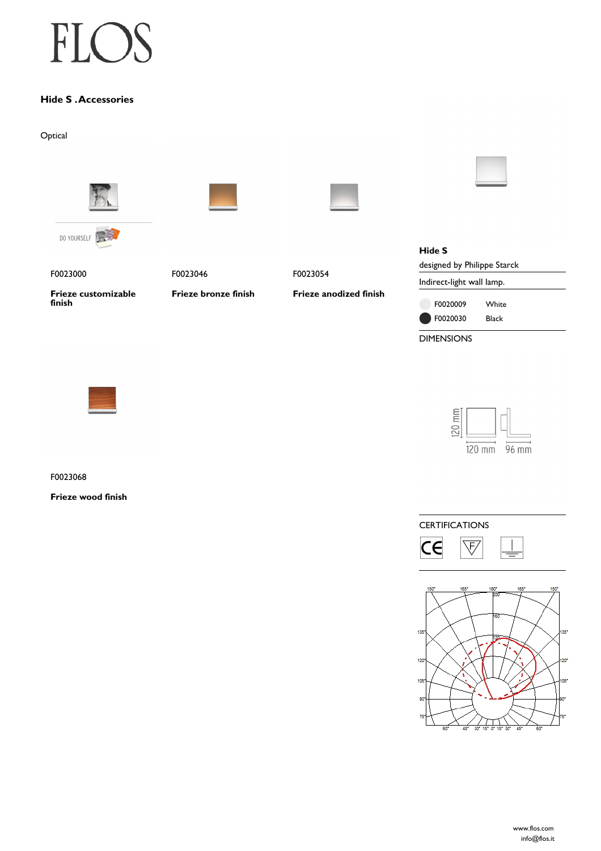## FLO

### **Hide S . Accessories**

Optical



DIMENSIONS



 $120$  mm  $\overline{120 \text{ mm}}$  96 mm

F0023068

**Frieze wood finish**

**CERTIFICATIONS**  $\overline{\mathsf{c}\mathsf{e}}$  $\overline{\mathcal{F}}$